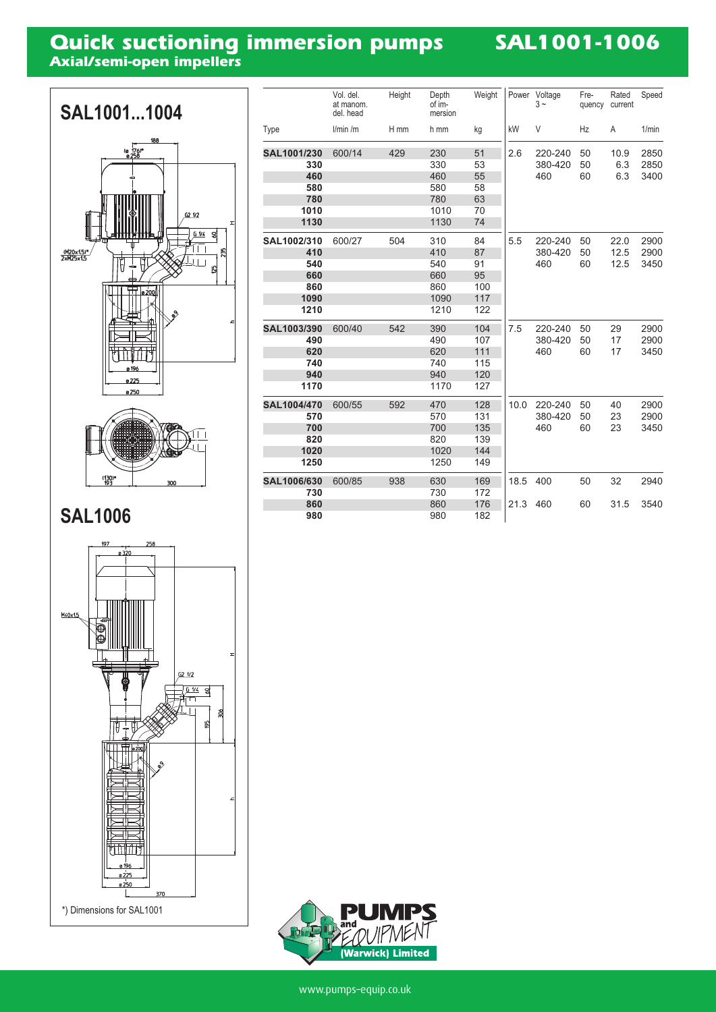# **Quick suctioning immersion pumps**<br>Axial/semi-open impellers

## **SAL1001-1006**



|             | Vol. del.<br>at manom.<br>del. head | Height | Depth<br>of im-<br>mersion | Weight | Power | Voltage<br>$3 -$          | Fre-<br>quency | Rated<br>current | Speed                |
|-------------|-------------------------------------|--------|----------------------------|--------|-------|---------------------------|----------------|------------------|----------------------|
| Type        | l/min/m                             | H mm   | h mm                       | kg     | kW    | V                         | Hz             | A                | 1/min                |
| SAL1001/230 | 600/14                              | 429    | 230                        | 51     | 2.6   | 220-240                   | 50             | 10.9             | 2850                 |
| 330         |                                     |        | 330                        | 53     |       | 380-420                   | 50             | 6.3              | 2850                 |
| 460         |                                     |        | 460                        | 55     |       | 460                       | 60             | 6.3              | 3400                 |
| 580         |                                     |        | 580                        | 58     |       |                           |                |                  |                      |
| 780         |                                     |        | 780                        | 63     |       |                           |                |                  |                      |
| 1010        |                                     |        | 1010                       | 70     |       |                           |                |                  |                      |
| 1130        |                                     |        | 1130                       | 74     |       |                           |                |                  |                      |
| SAL1002/310 | 600/27                              | 504    | 310                        | 84     | 5.5   | 220-240                   | 50             | 22.0             | 2900                 |
| 410         |                                     |        | 410                        | 87     |       | 380-420                   | 50             | 12.5             | 2900                 |
| 540         |                                     |        | 540                        | 91     |       | 460                       | 60             | 12.5             | 3450                 |
| 660         |                                     |        | 660                        | 95     |       |                           |                |                  |                      |
| 860         |                                     |        | 860                        | 100    |       |                           |                |                  |                      |
| 1090        |                                     |        | 1090                       | 117    |       |                           |                |                  |                      |
| 1210        |                                     |        | 1210                       | 122    |       |                           |                |                  |                      |
| SAL1003/390 | 600/40                              | 542    | 390                        | 104    | 7.5   | 220-240<br>380-420<br>460 | 50<br>50<br>60 | 29<br>17<br>17   | 2900<br>2900<br>3450 |
| 490         |                                     |        | 490                        | 107    |       |                           |                |                  |                      |
| 620         |                                     |        | 620                        | 111    |       |                           |                |                  |                      |
| 740         |                                     |        | 740                        | 115    |       |                           |                |                  |                      |
| 940         |                                     |        | 940                        | 120    |       |                           |                |                  |                      |
| 1170        |                                     |        | 1170                       | 127    |       |                           |                |                  |                      |
| SAL1004/470 | 600/55                              | 592    | 470                        | 128    | 10.0  | 220-240                   | 50             | 40               | 2900                 |
| 570         |                                     |        | 570                        | 131    |       | 380-420                   | 50             | 23               | 2900                 |
| 700         |                                     |        | 700                        | 135    |       | 460                       | 60             | 23               | 3450                 |
| 820         |                                     |        | 820                        | 139    |       |                           |                |                  |                      |
| 1020        |                                     |        | 1020                       | 144    |       |                           |                |                  |                      |
| 1250        |                                     |        | 1250                       | 149    |       |                           |                |                  |                      |
| SAL1006/630 | 600/85                              | 938    | 630                        | 169    | 18.5  | 400                       | 50             | 32               | 2940                 |
| 730         |                                     |        | 730                        | 172    |       |                           |                |                  |                      |
| 860         |                                     |        | 860                        | 176    | 21.3  | 460                       | 60             | 31.5             | 3540                 |
| 980         |                                     |        | 980                        | 182    |       |                           |                |                  |                      |



 $(130)*$ <br> $193*$